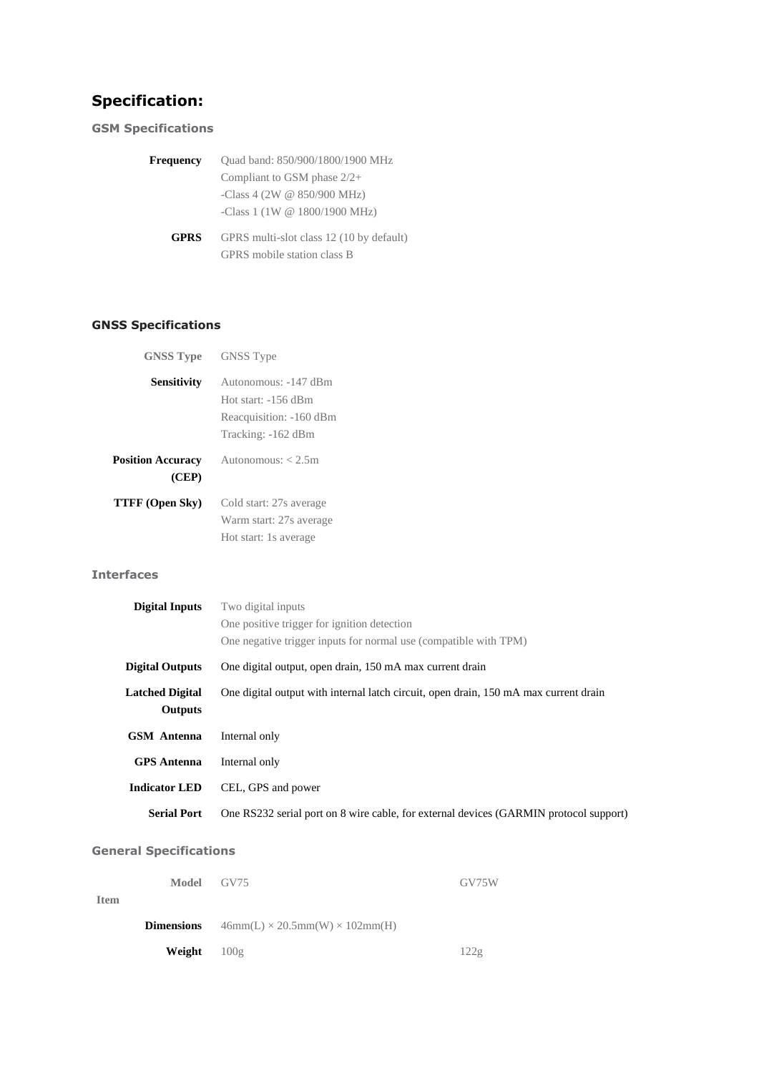# **Specification:**

# **GSM Specifications**

| <b>Frequency</b> | Quad band: 850/900/1800/1900 MHz                                        |  |
|------------------|-------------------------------------------------------------------------|--|
|                  | Compliant to GSM phase $2/2+$                                           |  |
|                  | -Class 4 (2W $@$ 850/900 MHz)                                           |  |
|                  | -Class 1 (1W $@$ 1800/1900 MHz)                                         |  |
| <b>GPRS</b>      | GPRS multi-slot class 12 (10 by default)<br>GPRS mobile station class B |  |

# **GNSS Specifications**

| <b>GNSS Type</b>                  | <b>GNSS</b> Type        |
|-----------------------------------|-------------------------|
| Sensitivity                       | Autonomous: -147 dBm    |
|                                   | Hot start: -156 dBm     |
|                                   | Reacquisition: -160 dBm |
|                                   | Tracking: -162 dBm      |
| <b>Position Accuracy</b><br>(CEP) | Autonomous: $< 2.5m$    |
| TTFF (Open Sky)                   | Cold start: 27s average |
|                                   | Warm start: 27s average |
|                                   | Hot start: 1s average   |

#### **Interfaces**

| <b>Digital Inputs</b>                    | Two digital inputs                                                                    |
|------------------------------------------|---------------------------------------------------------------------------------------|
|                                          | One positive trigger for ignition detection                                           |
|                                          | One negative trigger inputs for normal use (compatible with TPM)                      |
| <b>Digital Outputs</b>                   | One digital output, open drain, 150 mA max current drain                              |
| <b>Latched Digital</b><br><b>Outputs</b> | One digital output with internal latch circuit, open drain, 150 mA max current drain  |
| <b>GSM</b> Antenna                       | Internal only                                                                         |
| <b>GPS</b> Antenna                       | Internal only                                                                         |
| <b>Indicator LED</b>                     | CEL, GPS and power                                                                    |
| <b>Serial Port</b>                       | One RS232 serial port on 8 wire cable, for external devices (GARMIN protocol support) |

# **General Specifications**

|             | Model GV75           |                                                              | GV75W |
|-------------|----------------------|--------------------------------------------------------------|-------|
| <b>Item</b> |                      |                                                              |       |
|             |                      | <b>Dimensions</b> $46mm(L) \times 20.5mm(W) \times 102mm(H)$ |       |
|             | <b>Weight</b> $100g$ |                                                              | 122g  |